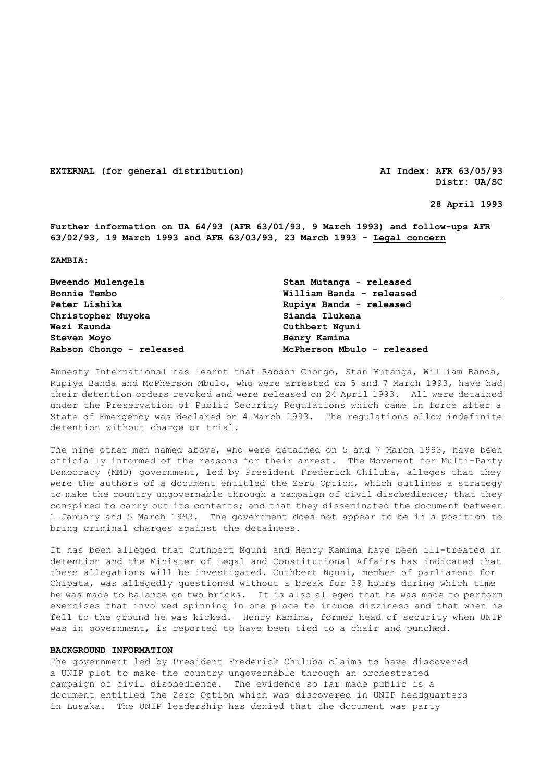**EXTERNAL (for general distribution) AI Index: AFR 63/05/93**

**Distr: UA/SC** 

 **28 April 1993** 

**Further information on UA 64/93 (AFR 63/01/93, 9 March 1993) and follow-ups AFR 63/02/93, 19 March 1993 and AFR 63/03/93, 23 March 1993 - Legal concern**

**ZAMBIA:**

| Bweendo Mulengela<br><b>Bonnie Tembo</b> | Stan Mutanga - released<br>William Banda - released |
|------------------------------------------|-----------------------------------------------------|
|                                          |                                                     |
| Christopher Muyoka                       | Sianda Ilukena                                      |
| Wezi Kaunda                              | Cuthbert Nguni                                      |
| Steven Moyo                              | Henry Kamima                                        |
| Rabson Chongo - released                 | McPherson Mbulo - released                          |

Amnesty International has learnt that Rabson Chongo, Stan Mutanga, William Banda, Rupiya Banda and McPherson Mbulo, who were arrested on 5 and 7 March 1993, have had their detention orders revoked and were released on 24 April 1993. All were detained under the Preservation of Public Security Regulations which came in force after a State of Emergency was declared on 4 March 1993. The regulations allow indefinite detention without charge or trial.

The nine other men named above, who were detained on 5 and 7 March 1993, have been officially informed of the reasons for their arrest. The Movement for Multi-Party Democracy (MMD) government, led by President Frederick Chiluba, alleges that they were the authors of a document entitled the Zero Option, which outlines a strategy to make the country ungovernable through a campaign of civil disobedience; that they conspired to carry out its contents; and that they disseminated the document between 1 January and 5 March 1993. The government does not appear to be in a position to bring criminal charges against the detainees.

It has been alleged that Cuthbert Nguni and Henry Kamima have been ill-treated in detention and the Minister of Legal and Constitutional Affairs has indicated that these allegations will be investigated. Cuthbert Nguni, member of parliament for Chipata, was allegedly questioned without a break for 39 hours during which time he was made to balance on two bricks. It is also alleged that he was made to perform exercises that involved spinning in one place to induce dizziness and that when he fell to the ground he was kicked. Henry Kamima, former head of security when UNIP was in government, is reported to have been tied to a chair and punched.

### **BACKGROUND INFORMATION**

The government led by President Frederick Chiluba claims to have discovered a UNIP plot to make the country ungovernable through an orchestrated campaign of civil disobedience. The evidence so far made public is a document entitled The Zero Option which was discovered in UNIP headquarters in Lusaka. The UNIP leadership has denied that the document was party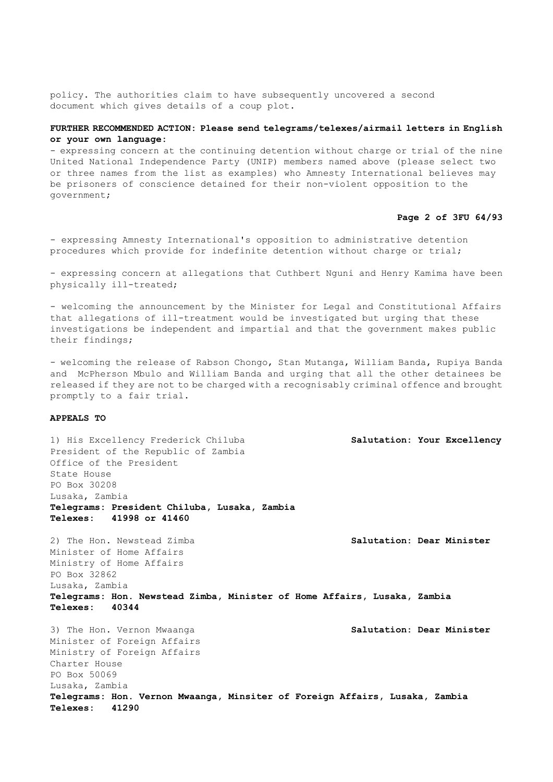policy. The authorities claim to have subsequently uncovered a second document which gives details of a coup plot.

# **FURTHER RECOMMENDED ACTION: Please send telegrams/telexes/airmail letters in English or your own language:**

- expressing concern at the continuing detention without charge or trial of the nine United National Independence Party (UNIP) members named above (please select two or three names from the list as examples) who Amnesty International believes may be prisoners of conscience detained for their non-violent opposition to the government;

## **Page 2 of 3FU 64/93**

- expressing Amnesty International's opposition to administrative detention procedures which provide for indefinite detention without charge or trial;

- expressing concern at allegations that Cuthbert Nguni and Henry Kamima have been physically ill-treated;

- welcoming the announcement by the Minister for Legal and Constitutional Affairs that allegations of ill-treatment would be investigated but urging that these investigations be independent and impartial and that the government makes public their findings;

- welcoming the release of Rabson Chongo, Stan Mutanga, William Banda, Rupiya Banda and McPherson Mbulo and William Banda and urging that all the other detainees be released if they are not to be charged with a recognisably criminal offence and brought promptly to a fair trial.

## **APPEALS TO**

1) His Excellency Frederick Chiluba **Salutation: Your Excellency** President of the Republic of Zambia Office of the President State House PO Box 30208 Lusaka, Zambia **Telegrams: President Chiluba, Lusaka, Zambia Telexes: 41998 or 41460** 2) The Hon. Newstead Zimba **Salutation: Dear Minister** Minister of Home Affairs Ministry of Home Affairs PO Box 32862 Lusaka, Zambia **Telegrams: Hon. Newstead Zimba, Minister of Home Affairs, Lusaka, Zambia Telexes: 40344**  3) The Hon. Vernon Mwaanga **Salutation: Dear Minister** Minister of Foreign Affairs Ministry of Foreign Affairs Charter House PO Box 50069 Lusaka, Zambia **Telegrams: Hon. Vernon Mwaanga, Minsiter of Foreign Affairs, Lusaka, Zambia Telexes: 41290**